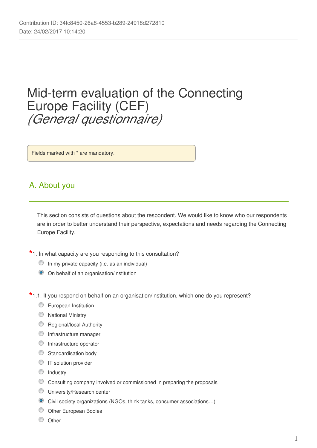# Mid-term evaluation of the Connecting Europe Facility (CEF) *(General questionnaire)*

Fields marked with \* are mandatory.

### A. About you

This section consists of questions about the respondent. We would like to know who our respondents are in order to better understand their perspective, expectations and needs regarding the Connecting Europe Facility.

**\***1. In what capacity are you responding to this consultation?

- In my private capacity (i.e. as an individual)
- On behalf of an organisation/institution
- **\***1.1. If you respond on behalf on an organisation/institution, which one do you represent?
	- **European Institution**
	- **National Ministry**
	- **C** Regional/local Authority
	- **O** Infrastructure manager
	- **O** Infrastructure operator
	- **Standardisation body**
	- **IT** solution provider
	- **O** Industry
	- Consulting company involved or commissioned in preparing the proposals
	- **University/Research center**
	- Civil society organizations (NGOs, think tanks, consumer associations…)
	- O Other European Bodies
	- C Other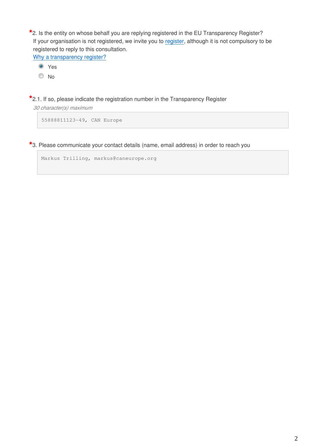**\***2. Is the entity on whose behalf you are replying registered in the EU Transparency Register? If your organisation is not registered, we invite you to [register](https://ec.europa.eu/transparencyregister/public/ri/registering.do?locale=en), although it is not compulsory to be registered to reply to this consultation.

[Why a transparency register?](http://ec.europa.eu/transparencyregister/public/staticPage/displayStaticPage.do?locale=en&reference=WHY_TRANSPARENCY_REGISTER)

Yes

<sup>O</sup>No

**\***2.1. If so, please indicate the registration number in the Transparency Register

*30 character(s) maximum*

55888811123-49, CAN Europe

**\***3. Please communicate your contact details (name, email address) in order to reach you

Markus Trilling, markus@caneurope.org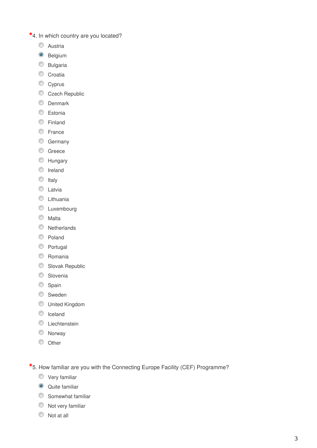- **\***4. In which country are you located?
	- **C** Austria
	- <sup>O</sup> Belgium
	- C Bulgaria
	- Croatia
	- Cyprus
	- Czech Republic
	- **O** Denmark
	- **Estonia**
	- **Einland**
	- **C** France
	- C Germany
	- C Greece
	- **EXT** Hungary
	- **O** Ireland
	- $\circ$  Italy
	- **C** Latvia
	- **C** Lithuania
	- **C** Luxembourg
	- **Malta**
	- **Netherlands**
	- C Poland
	- **Portugal**
	- C Romania
	- **Slovak Republic**
	- **Slovenia**
	- Spain
	- **Sweden**
	- United Kingdom
	- C Iceland
	- C Liechtenstein
	- Norway
	- **O** Other

**\***5. How familiar are you with the Connecting Europe Facility (CEF) Programme?

- **Very familiar**
- **Quite familiar**
- Somewhat familiar
- $\circledcirc$  Not very familiar
- $\circledcirc$  Not at all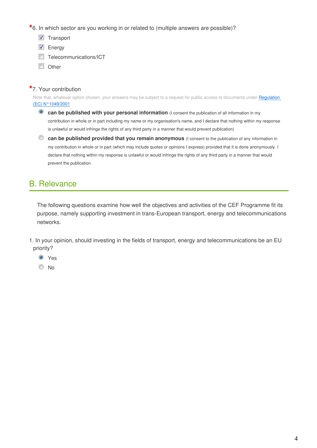**\***6. In which sector are you working in or related to (multiple answers are possible)?

- **V** Transport
- **V** Energy
- Telecommunications/ICT
- **Other**

### **\***7. Your contribution

Note that, whatever option chosen, your answers may be subject to a request for public access to documents under Regulation [\(EC\) N°1049/2001](http://www.europarl.europa.eu/RegData/PDF/r1049_en.pdf)

**<sup>c</sup>** can be published with your personal information (I consent the publication of all information in my contribution in whole or in part including my name or my organisation's name, and I declare that nothing within my response is unlawful or would infringe the rights of any third party in a manner that would prevent publication)

**can be published provided that you remain anonymous** (I consent to the publication of any information in my contribution in whole or in part (which may include quotes or opinions I express) provided that it is done anonymously. I declare that nothing within my response is unlawful or would infringe the rights of any third party in a manner that would prevent the publication.

### B. Relevance

The following questions examine how well the objectives and activities of the CEF Programme fit its purpose, namely supporting investment in trans-European transport, energy and telecommunications networks.

1. In your opinion, should investing in the fields of transport, energy and telecommunications be an EU priority?

- **O** Yes
- <sup>O</sup>No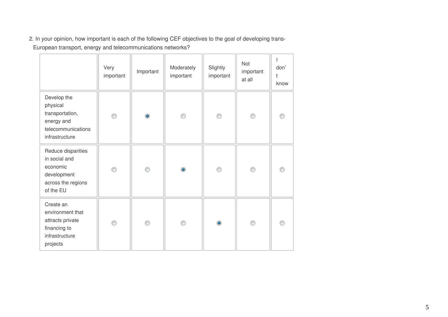2. In your opinion, how important is each of the following CEF objectives to the goal of developing trans-European transport, energy and telecommunications networks?

|                                                                                                   | Very<br>important | Important | Moderately<br>important | Slightly<br>important | Not<br>important<br>at all | don'<br>t<br>know |
|---------------------------------------------------------------------------------------------------|-------------------|-----------|-------------------------|-----------------------|----------------------------|-------------------|
| Develop the<br>physical<br>transportation,<br>energy and<br>telecommunications<br>infrastructure  | ⊙                 | $\bullet$ | 0                       | ∩                     | ⊙                          |                   |
| Reduce disparities<br>in social and<br>economic<br>development<br>across the regions<br>of the EU | 0                 | ⊙         | $\bullet$               | ∩                     | ⊙                          |                   |
| Create an<br>environment that<br>attracts private<br>financing to<br>infrastructure<br>projects   | 0                 | ◉         |                         | $\bullet$             | ⊙                          |                   |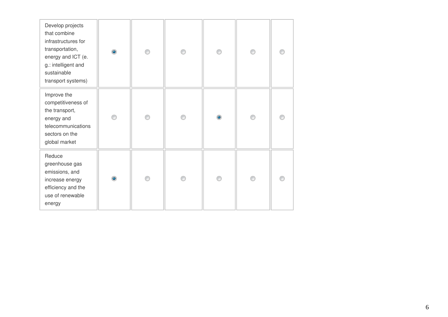| Develop projects<br>that combine<br>infrastructures for<br>transportation,<br>energy and ICT (e.<br>g.: intelligent and<br>sustainable<br>transport systems) | $\bullet$ | ⋒ | ∩ | ◉         | ⊙ |  |
|--------------------------------------------------------------------------------------------------------------------------------------------------------------|-----------|---|---|-----------|---|--|
| Improve the<br>competitiveness of<br>the transport,<br>energy and<br>telecommunications<br>sectors on the<br>global market                                   | ⋒         | ⊙ | ⋒ | $\bullet$ | ⋒ |  |
| Reduce<br>greenhouse gas<br>emissions, and<br>increase energy<br>efficiency and the<br>use of renewable<br>energy                                            | $\bullet$ | ∩ |   | ⋒         | ⋒ |  |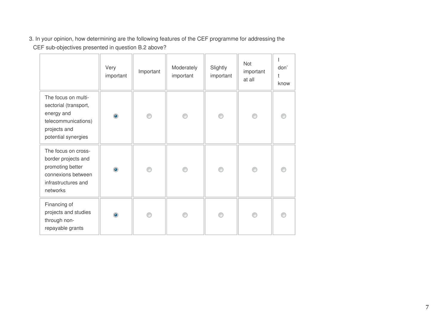3. In your opinion, how determining are the following features of the CEF programme for addressing the

CEF sub-objectives presented in question B.2 above?

|                                                                                                                          | Very<br>important | Important | Moderately<br>important | Slightly<br>important | Not<br>important<br>at all | don'<br>t<br>know |
|--------------------------------------------------------------------------------------------------------------------------|-------------------|-----------|-------------------------|-----------------------|----------------------------|-------------------|
| The focus on multi-<br>sectorial (transport,<br>energy and<br>telecommunications)<br>projects and<br>potential synergies | $\bullet$         | ⋒         | ∩                       | ⋒                     | ⋒                          |                   |
| The focus on cross-<br>border projects and<br>promoting better<br>connexions between<br>infrastructures and<br>networks  | $\bullet$         | ⊙         | ⊙                       | ⋒                     | ⋒                          |                   |
| Financing of<br>projects and studies<br>through non-<br>repayable grants                                                 | $\bullet$         | ⋒         |                         |                       | ⋒                          |                   |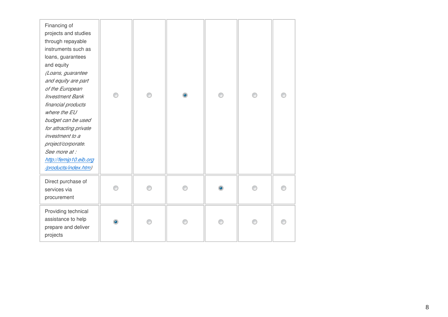| Financing of<br>projects and studies<br>through repayable<br>instruments such as<br>loans, guarantees<br>and equity<br>(Loans, guarantee<br>and equity are part<br>of the European<br><b>Investment Bank</b><br>financial products<br>where the EU<br>budget can be used<br>for attracting private<br>investment to a<br>project/corporate.<br>See more at :<br>http://femip10.eib.org<br>/products/index.htm) | ∩              | ∩ | $\circledcirc$ | ⋒ | ⋒ |  |
|----------------------------------------------------------------------------------------------------------------------------------------------------------------------------------------------------------------------------------------------------------------------------------------------------------------------------------------------------------------------------------------------------------------|----------------|---|----------------|---|---|--|
| Direct purchase of<br>services via<br>procurement                                                                                                                                                                                                                                                                                                                                                              | ∩              |   |                |   |   |  |
| Providing technical<br>assistance to help<br>prepare and deliver<br>projects                                                                                                                                                                                                                                                                                                                                   | $\circledcirc$ |   |                |   |   |  |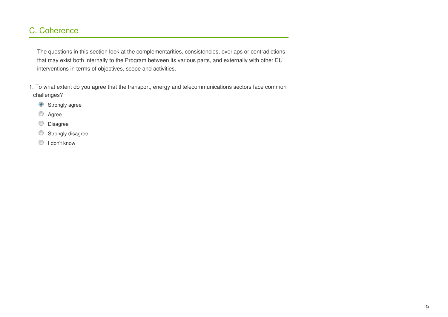### C. Coherence

The questions in this section look at the complementarities, consistencies, overlaps or contradictions that may exist both internally to the Program between its various parts, and externally with other EU interventions in terms of objectives, scope and activities.

1. To what extent do you agree that the transport, energy and telecommunications sectors face common challenges?

- <sup>O</sup> Strongly agree
- **Agree**
- 0 Disagree
- O Strongly disagree
- **I** don't know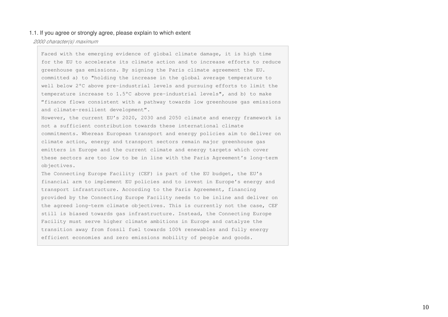#### 1.1. If you agree or strongly agree, please explain to which extent

#### *2000 character(s) maximum*

Faced with the emerging evidence of global climate damage, it is high time for the EU to accelerate its climate action and to increase efforts to reduce greenhouse gas emissions. By signing the Paris climate agreement the EU. committed a) to "holding the increase in the global average temperature to well below 2°C above pre-industrial levels and pursuing efforts to limit the temperature increase to 1.5°C above pre-industrial levels", and b) to make "finance flows consistent with a pathway towards low greenhouse gas emissions and climate-resilient development".

However, the current EU's 2020, 2030 and 2050 climate and energy framework is not a sufficient contribution towards these international climate commitments. Whereas European transport and energy policies aim to deliver on climate action, energy and transport sectors remain major greenhouse gas emitters in Europe and the current climate and energy targets which cover these sectors are too low to be in line with the Paris Agreement's long-term objectives.

The Connecting Europe Facility (CEF) is part of the EU budget, the EU's financial arm to implement EU policies and to invest in Europe's energy and transport infrastructure. According to the Paris Agreement, financing provided by the Connecting Europe Facility needs to be inline and deliver on the agreed long-term climate objectives. This is currently not the case, CEF still is biased towards gas infrastructure. Instead, the Connecting Europe Facility must serve higher climate ambitions in Europe and catalyze the transition away from fossil fuel towards 100% renewables and fully energy efficient economies and zero emissions mobility of people and goods.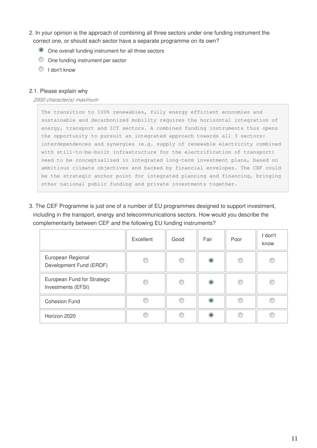- 2. In your opinion is the approach of combining all three sectors under one funding instrument the correct one, or should each sector have a separate programme on its own?
	- O One overall funding instrument for all three sectors
	- One funding instrument per sector
	- **I** don't know

#### 2.1. Please explain why

*2000 character(s) maximum*

The transition to 100% renewables, fully energy efficient economies and sustainable and decarbonized mobility requires the horizontal integration of energy, transport and ICT sectors. A combined funding instruments thus opens the opportunity to pursuit an integrated approach towards all 3 sectors: interdependences and synergies (e.g. supply of renewable electricity combined with still-to-be-built infrastructure for the electrification of transport) need to be conceptualized in integrated long-term investment plans, based on ambitious climate objectives and backed by financial envelopes. The CEF could be the strategic anchor point for integrated planning and financing, bringing other national public funding and private investments together.

3. The CEF Programme is just one of a number of EU programmes designed to support investment, including in the transport, energy and telecommunications sectors. How would you describe the complementarity between CEF and the following EU funding instruments?

|                                                   | Excellent | Good | Fair      | Poor | I don't<br>know |
|---------------------------------------------------|-----------|------|-----------|------|-----------------|
| European Regional<br>Development Fund (ERDF)      |           | ⊙    | $\bullet$ | €    | ⋒               |
| European Fund for Strategic<br>Investments (EFSI) |           | €    | ۱         |      |                 |
| <b>Cohesion Fund</b>                              |           |      | $\bullet$ |      |                 |
| Horizon 2020                                      |           | C    | $\bullet$ |      |                 |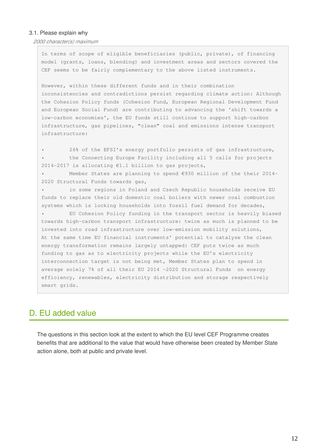#### 3.1. Please explain why

*2000 character(s) maximum*

In terms of scope of eligible beneficiaries (public, private), of financing model (grants, loans, blending) and investment areas and sectors covered the CEF seems to be fairly complementary to the above listed instruments.

However, within these different funds and in their combination inconsistencies and contradictions persist regarding climate action: Although the Cohesion Policy funds (Cohesion Fund, European Regional Development Fund and European Social Fund) are contributing to advancing the 'shift towards a low-carbon economies', the EU funds still continue to support high-carbon infrastructure, gas pipelines, "clean" coal and emissions intense transport infrastructure:

• 26% of the EFSI's energy portfolio persists of gas infrastructure, • the Connecting Europe Facility including all 5 calls for projects 2014-2017 is allocating  $€1.1$  billion to gas projects,

• Member States are planning to spend €930 million of the their 2014- 2020 Structural Funds towards gas,

• in some regions in Poland and Czech Republic households receive EU funds to replace their old domestic coal boilers with newer coal combustion systems which is locking households into fossil fuel demand for decades, • EU Cohesion Policy funding in the transport sector is heavily biased towards high-carbon transport infrastructure: twice as much is planned to be invested into road infrastructure over low-emission mobility solutions, At the same time EU financial instruments' potential to catalyse the clean energy transformation remains largely untapped: CEF puts twice as much funding to gas as to electricity projects while the EU's electricity interconnection target is not being met, Member States plan to spend in average solely 7% of all their EU 2014 -2020 Structural Funds on energy efficiency, renewables, electricity distribution and storage respectively smart grids.

### D. EU added value

The questions in this section look at the extent to which the EU level CEF Programme creates benefits that are additional to the value that would have otherwise been created by Member State action alone, both at public and private level.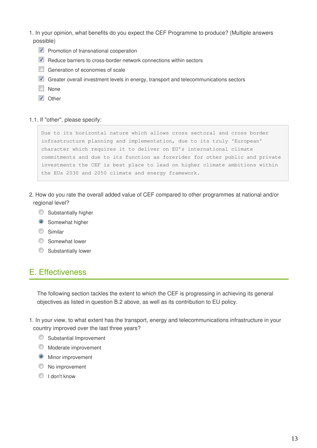- 1. In your opinion, what benefits do you expect the CEF Programme to produce? (Multiple answers possible)
	- $\blacksquare$  Promotion of transnational cooperation
	- $\blacksquare$  Reduce barriers to cross-border network connections within sectors
	- Generation of economies of scale
	- Greater overall investment levels in energy, transport and telecommunications sectors
	- **None**
	- **V** Other

#### 1.1. If "other", please specify:

Due to its horizontal nature which allows cross sectoral and cross border infrastructure planning and implementation, due to its truly 'European' character which requires it to deliver on EU's international climate commitments and due to its function as forerider for other public and private investments the CEF is best place to lead on higher climate ambitions within the EUs 2030 and 2050 climate and energy framework.

- 2. How do you rate the overall added value of CEF compared to other programmes at national and/or regional level?
	- **Substantially higher**
	- **Somewhat higher**
	- **Similar**
	- **Somewhat lower**
	- **Substantially lower**

### E. Effectiveness

The following section tackles the extent to which the CEF is progressing in achieving its general objectives as listed in question B.2 above, as well as its contribution to EU policy.

1. In your view, to what extent has the transport, energy and telecommunications infrastructure in your country improved over the last three years?

- **Substantial Improvement**
- **Moderate improvement**
- **Minor improvement**
- <sup>O</sup> No improvement
- <sup>O</sup> I don't know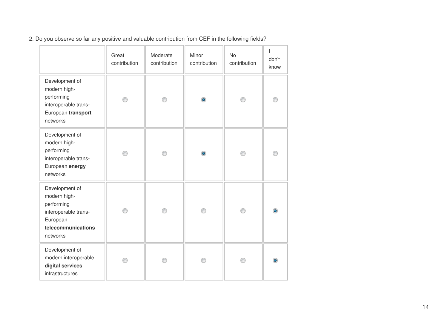2. Do you observe so far any positive and valuable contribution from CEF in the following fields?

|                                                                                                                    | Great<br>contribution | Moderate<br>contribution | Minor<br>contribution | No<br>contribution | ı<br>don't<br>know |
|--------------------------------------------------------------------------------------------------------------------|-----------------------|--------------------------|-----------------------|--------------------|--------------------|
| Development of<br>modern high-<br>performing<br>interoperable trans-<br>European transport<br>networks             |                       |                          | ۰                     | ∩                  |                    |
| Development of<br>modern high-<br>performing<br>interoperable trans-<br>European energy<br>networks                |                       | ⋒                        | ۰                     | ∩                  |                    |
| Development of<br>modern high-<br>performing<br>interoperable trans-<br>European<br>telecommunications<br>networks |                       |                          |                       | ⋒                  |                    |
| Development of<br>modern interoperable<br>digital services<br>infrastructures                                      |                       |                          |                       |                    |                    |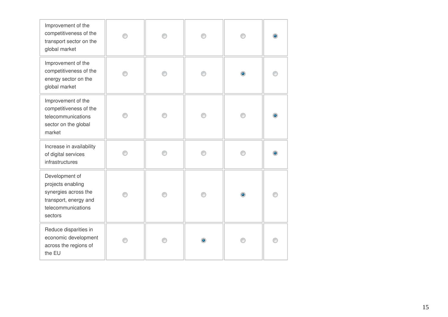| Improvement of the<br>competitiveness of the<br>transport sector on the<br>global market                              |  |   |  |
|-----------------------------------------------------------------------------------------------------------------------|--|---|--|
| Improvement of the<br>competitiveness of the<br>energy sector on the<br>global market                                 |  |   |  |
| Improvement of the<br>competitiveness of the<br>telecommunications<br>sector on the global<br>market                  |  |   |  |
| Increase in availability<br>of digital services<br>infrastructures                                                    |  |   |  |
| Development of<br>projects enabling<br>synergies across the<br>transport, energy and<br>telecommunications<br>sectors |  | ۰ |  |
| Reduce disparities in<br>economic development<br>across the regions of<br>the EU                                      |  |   |  |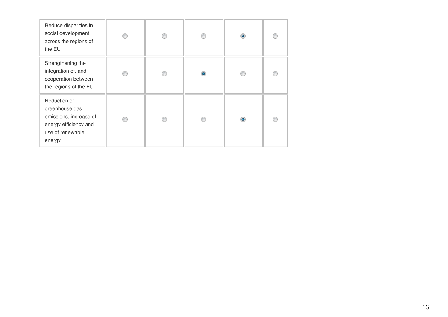| Reduce disparities in<br>social development<br>across the regions of<br>the EU                                  |  |   |  |
|-----------------------------------------------------------------------------------------------------------------|--|---|--|
| Strengthening the<br>integration of, and<br>cooperation between<br>the regions of the EU                        |  | ۵ |  |
| Reduction of<br>greenhouse gas<br>emissions, increase of<br>energy efficiency and<br>use of renewable<br>energy |  |   |  |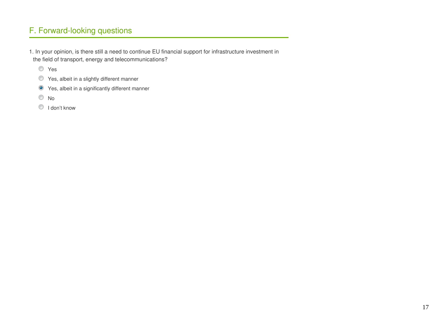## F. Forward-looking questions

1. In your opinion, is there still a need to continue EU financial support for infrastructure investment in the field of transport, energy and telecommunications?

- Yes
- Yes, albeit in a slightly different manner
- Yes, albeit in a significantly different manner
- <sup>O</sup>No
- <sup>O</sup> I don't know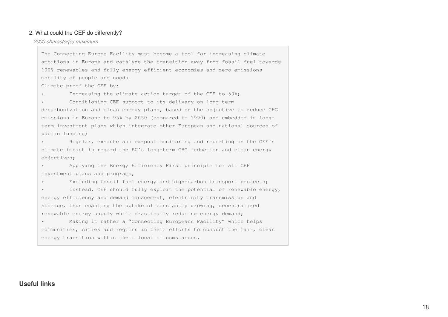#### 2. What could the CEF do differently?

*2000 character(s) maximum*

The Connecting Europe Facility must become a tool for increasing climate ambitions in Europe and catalyze the transition away from fossil fuel towards 100% renewables and fully energy efficient economies and zero emissions mobility of people and goods.

Climate proof the CEF by:

Increasing the climate action target of the CEF to  $50\$ ;

Conditioning CEF support to its delivery on long-term decarbonization and clean energy plans, based on the objective to reduce GHG emissions in Europe to 95% by 2050 (compared to 1990) and embedded in longterm investment plans which integrate other European and national sources of public funding;

• Regular, ex-ante and ex-post monitoring and reporting on the CEF's climate impact in regard the EU's long-term GHG reduction and clean energy objectives;

• Applying the Energy Efficiency First principle for all CEF investment plans and programs,

Excluding fossil fuel energy and high-carbon transport projects;

Instead, CEF should fully exploit the potential of renewable energy, energy efficiency and demand management, electricity transmission and storage, thus enabling the uptake of constantly growing, decentralized renewable energy supply while drastically reducing energy demand;

Making it rather a "Connecting Europeans Facility" which helps communities, cities and regions in their efforts to conduct the fair, clean energy transition within their local circumstances.

#### **Useful links**